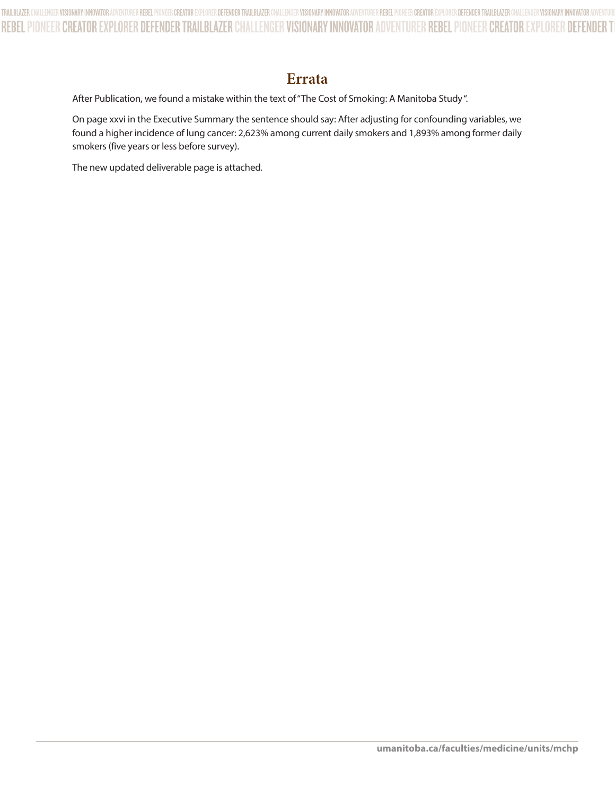## **Errata**

After Publication, we found a mistake within the text of "The Cost of Smoking: A Manitoba Study ".

On page xxvi in the Executive Summary the sentence should say: After adjusting for confounding variables, we found a higher incidence of lung cancer: 2,623% among current daily smokers and 1,893% among former daily smokers (five years or less before survey).

The new updated deliverable page is attached*.*